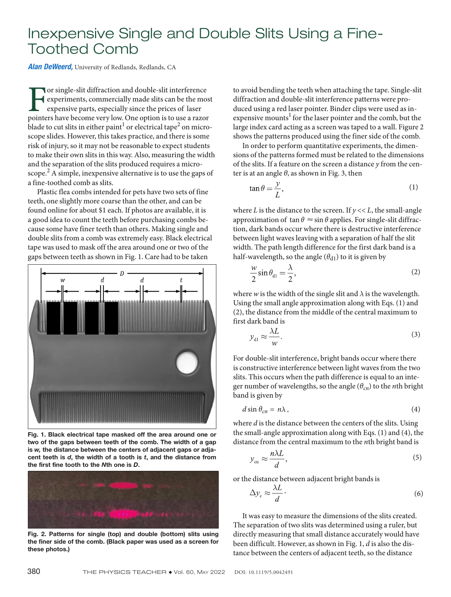## Inexpensive Single and Double Slits Using a Fine-Toothed Comb

*Alan DeWeerd,* University of Redlands, Redlands, CA

For single-slit diffraction and double-slit interference<br>experiments, commercially made slits can be the most<br>expensive parts, especially since the prices of laser<br>pointers have become very low. One option is to use a razo experiments, commercially made slits can be the most expensive parts, especially since the prices of laser pointers have become very low. One option is to use a razor blade to cut slits in either paint $^{\rm l}$  or electrical tape<sup>2</sup> on microscope slides. However, this takes practice, and there is some risk of injury, so it may not be reasonable to expect students to make their own slits in this way. Also, measuring the width and the separation of the slits produced requires a microscope.<sup>2</sup> A simple, inexpensive alternative is to use the gaps of a fine-toothed comb as slits.

Plastic flea combs intended for pets have two sets of fine teeth, one slightly more coarse than the other, and can be found online for about \$1 each. If photos are available, it is a good idea to count the teeth before purchasing combs because some have finer teeth than others. Making single and double slits from a comb was extremely easy. Black electrical tape was used to mask off the area around one or two of the gaps between teeth as shown in Fig. 1. Care had to be taken



Fig. 1. Black electrical tape masked off the area around one or two of the gaps between teeth of the comb. The width of a gap is *w,* the distance between the centers of adjacent gaps or adjacent teeth is *d*, the width of a tooth is *t*, and the distance from the first fine tooth to the *N*th one is *D*.



Fig. 2. Patterns for single (top) and double (bottom) slits using the finer side of the comb. (Black paper was used as a screen for these photos.)

to avoid bending the teeth when attaching the tape. Single-slit diffraction and double-slit interference patterns were produced using a red laser pointer. Binder clips were used as inexpensive mounts<sup>1</sup> for the laser pointer and the comb, but the large index card acting as a screen was taped to a wall. Figure 2 shows the patterns produced using the finer side of the comb.

In order to perform quantitative experiments, the dimensions of the patterns formed must be related to the dimensions of the slits. If a feature on the screen a distance *y* from the center is at an angle *θ*, as shown in Fig. 3, then

$$
\tan \theta = \frac{y}{L},\tag{1}
$$

where  $L$  is the distance to the screen. If  $y \ll L$ , the small-angle approximation of  $\tan \theta \approx \sin \theta$  applies. For single-slit diffraction, dark bands occur where there is destructive interference between light waves leaving with a separation of half the slit width. The path length difference for the first dark band is a half-wavelength, so the angle  $(\theta_{d1})$  to it is given by

$$
\frac{w}{2}\sin\theta_{\rm d1} = \frac{\lambda}{2},\tag{2}
$$

where *w* is the width of the single slit and  $\lambda$  is the wavelength. Using the small angle approximation along with Eqs. (1) and (2), the distance from the middle of the central maximum to first dark band is

$$
y_{\rm dl} \approx \frac{\lambda L}{w}.\tag{3}
$$

For double-slit interference, bright bands occur where there is constructive interference between light waves from the two slits. This occurs when the path difference is equal to an integer number of wavelengths, so the angle (*θcn*) to the *n*th bright band is given by

$$
d\sin\theta_{cn} = n\lambda\,,\tag{4}
$$

where *d* is the distance between the centers of the slits. Using the small-angle approximation along with Eqs. (1) and (4), the distance from the central maximum to the *n*th bright band is

$$
y_{\rm cn} \approx \frac{n\lambda L}{d},\tag{5}
$$

or the distance between adjacent bright bands is

$$
\Delta y_{\rm c} \approx \frac{\lambda L}{d} \, . \tag{6}
$$

It was easy to measure the dimensions of the slits created. The separation of two slits was determined using a ruler, but directly measuring that small distance accurately would have been difficult. However, as shown in Fig. 1, *d* is also the distance between the centers of adjacent teeth, so the distance